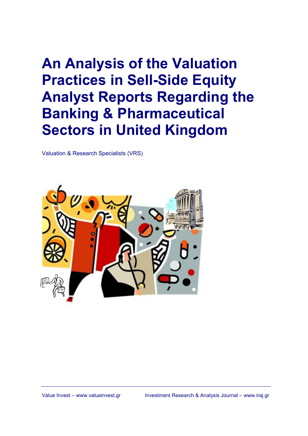## **An Analysis of the Valuation Practices in Sell-Side Equity Analyst Reports Regarding the Banking & Pharmaceutical Sectors in United Kingdom**

Valuation & Research Specialists (VRS)

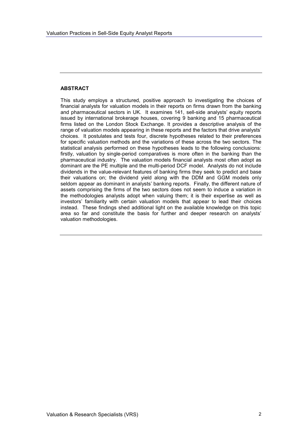#### **ABSTRACT**

This study employs a structured, positive approach to investigating the choices of financial analysts for valuation models in their reports on firms drawn from the banking and pharmaceutical sectors in UK. It examines 141, sell-side analysts' equity reports issued by international brokerage houses, covering 9 banking and 15 pharmaceutical firms listed on the London Stock Exchange. It provides a descriptive analysis of the range of valuation models appearing in these reports and the factors that drive analysts' choices. It postulates and tests four, discrete hypotheses related to their preferences for specific valuation methods and the variations of these across the two sectors. The statistical analysis performed on these hypotheses leads to the following conclusions: firstly, valuation by single-period comparatives is more often in the banking than the pharmaceutical industry. The valuation models financial analysts most often adopt as dominant are the PE multiple and the multi-period DCF model. Analysts do not include dividends in the value-relevant features of banking firms they seek to predict and base their valuations on; the dividend yield along with the DDM and GGM models only seldom appear as dominant in analysts' banking reports. Finally, the different nature of assets comprising the firms of the two sectors does not seem to induce a variation in the methodologies analysts adopt when valuing them; it is their expertise as well as investors' familiarity with certain valuation models that appear to lead their choices instead. These findings shed additional light on the available knowledge on this topic area so far and constitute the basis for further and deeper research on analysts' valuation methodologies.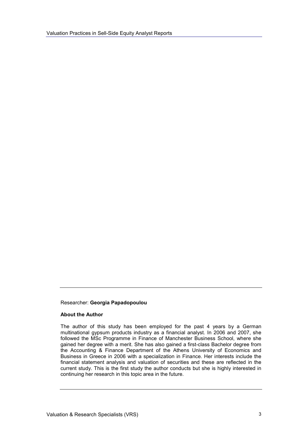#### Researcher: **Georgia Papadopoulou**

#### **About the Author**

The author of this study has been employed for the past 4 years by a German multinational gypsum products industry as a financial analyst. In 2006 and 2007, she followed the MSc Programme in Finance of Manchester Business School, where she gained her degree with a merit. She has also gained a first-class Bachelor degree from the Accounting & Finance Department of the Athens University of Economics and Business in Greece in 2006 with a specialization in Finance. Her interests include the financial statement analysis and valuation of securities and these are reflected in the current study. This is the first study the author conducts but she is highly interested in continuing her research in this topic area in the future.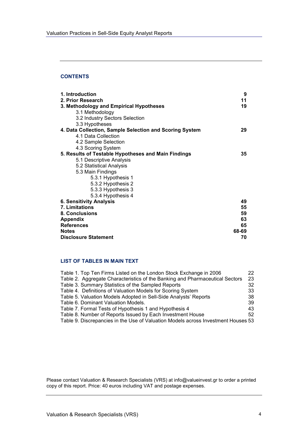#### **CONTENTS**

| 1. Introduction                                         | 9     |
|---------------------------------------------------------|-------|
| 2. Prior Research                                       | 11    |
| 3. Methodology and Empirical Hypotheses                 | 19    |
| 3.1 Methodology                                         |       |
| 3.2 Industry Sectors Selection                          |       |
| 3.3 Hypotheses                                          |       |
| 4. Data Collection, Sample Selection and Scoring System | 29    |
| 4.1 Data Collection                                     |       |
| 4.2 Sample Selection                                    |       |
| 4.3 Scoring System                                      |       |
| 5. Results of Testable Hypotheses and Main Findings     | 35    |
| 5.1 Descriptive Analysis                                |       |
| 5.2 Statistical Analysis                                |       |
| 5.3 Main Findings                                       |       |
| 5.3.1 Hypothesis 1                                      |       |
| 5.3.2 Hypothesis 2                                      |       |
| 5.3.3 Hypothesis 3                                      |       |
| 5.3.4 Hypothesis 4                                      |       |
| <b>6. Sensitivity Analysis</b>                          | 49    |
| 7. Limitations                                          | 55    |
| 8. Conclusions                                          | 59    |
| Appendix                                                | 63    |
| <b>References</b>                                       | 65    |
| <b>Notes</b>                                            | 68-69 |
| <b>Disclosure Statement</b>                             | 70    |

#### **LIST OF TABLES IN MAIN TEXT**

| Table 1. Top Ten Firms Listed on the London Stock Exchange in 2006                | 22 |
|-----------------------------------------------------------------------------------|----|
| Table 2. Aggregate Characteristics of the Banking and Pharmaceutical Sectors      | 23 |
| Table 3. Summary Statistics of the Sampled Reports                                | 32 |
| Table 4. Definitions of Valuation Models for Scoring System                       | 33 |
| Table 5. Valuation Models Adopted in Sell-Side Analysts' Reports                  | 38 |
| Table 6. Dominant Valuation Models.                                               | 39 |
| Table 7. Formal Tests of Hypothesis 1 and Hypothesis 4                            | 43 |
| Table 8. Number of Reports Issued by Each Investment House                        | 52 |
| Table 9. Discrepancies in the Use of Valuation Models across Investment Houses 53 |    |

Please contact Valuation & Research Specialists (VRS) at info@valueinvest.gr to order a printed copy of this report. Price: 40 euros including VAT and postage expenses.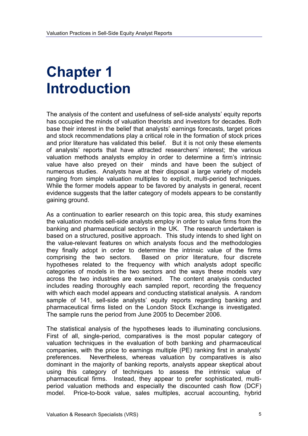# **Chapter 1 Introduction**

The analysis of the content and usefulness of sell-side analysts' equity reports has occupied the minds of valuation theorists and investors for decades. Both base their interest in the belief that analysts' earnings forecasts, target prices and stock recommendations play a critical role in the formation of stock prices and prior literature has validated this belief. But it is not only these elements of analysts' reports that have attracted researchers' interest; the various valuation methods analysts employ in order to determine a firm's intrinsic value have also preyed on their minds and have been the subject of numerous studies. Analysts have at their disposal a large variety of models ranging from simple valuation multiples to explicit, multi-period techniques. While the former models appear to be favored by analysts in general, recent evidence suggests that the latter category of models appears to be constantly gaining ground.

As a continuation to earlier research on this topic area, this study examines the valuation models sell-side analysts employ in order to value firms from the banking and pharmaceutical sectors in the UK. The research undertaken is based on a structured, positive approach. This study intends to shed light on the value-relevant features on which analysts focus and the methodologies they finally adopt in order to determine the intrinsic value of the firms comprising the two sectors. Based on prior literature, four discrete hypotheses related to the frequency with which analysts adopt specific categories of models in the two sectors and the ways these models vary across the two industries are examined. The content analysis conducted includes reading thoroughly each sampled report, recording the frequency with which each model appears and conducting statistical analysis. A random sample of 141, sell-side analysts' equity reports regarding banking and pharmaceutical firms listed on the London Stock Exchange is investigated. The sample runs the period from June 2005 to December 2006.

The statistical analysis of the hypotheses leads to illuminating conclusions. First of all, single-period, comparatives is the most popular category of valuation techniques in the evaluation of both banking and pharmaceutical companies, with the price to earnings multiple (PE) ranking first in analysts' preferences. Nevertheless, whereas valuation by comparatives is also dominant in the majority of banking reports, analysts appear skeptical about using this category of techniques to assess the intrinsic value of pharmaceutical firms. Instead, they appear to prefer sophisticated, multiperiod valuation methods and especially the discounted cash flow (DCF) model. Price-to-book value, sales multiples, accrual accounting, hybrid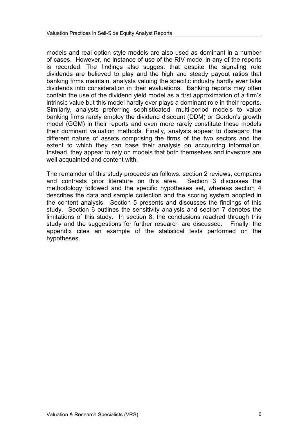models and real option style models are also used as dominant in a number of cases. However, no instance of use of the RIV model in any of the reports is recorded. The findings also suggest that despite the signaling role dividends are believed to play and the high and steady payout ratios that banking firms maintain, analysts valuing the specific industry hardly ever take dividends into consideration in their evaluations. Banking reports may often contain the use of the dividend yield model as a first approximation of a firm's intrinsic value but this model hardly ever plays a dominant role in their reports. Similarly, analysts preferring sophisticated, multi-period models to value banking firms rarely employ the dividend discount (DDM) or Gordon's growth model (GGM) in their reports and even more rarely constitute these models their dominant valuation methods. Finally, analysts appear to disregard the different nature of assets comprising the firms of the two sectors and the extent to which they can base their analysis on accounting information. Instead, they appear to rely on models that both themselves and investors are well acquainted and content with.

The remainder of this study proceeds as follows: section 2 reviews, compares and contrasts prior literature on this area. Section 3 discusses the methodology followed and the specific hypotheses set, whereas section 4 describes the data and sample collection and the scoring system adopted in the content analysis. Section 5 presents and discusses the findings of this study. Section 6 outlines the sensitivity analysis and section 7 denotes the limitations of this study. In section 8, the conclusions reached through this study and the suggestions for further research are discussed. Finally, the appendix cites an example of the statistical tests performed on the hypotheses.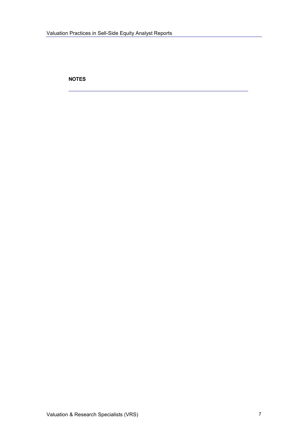### **NOTES**